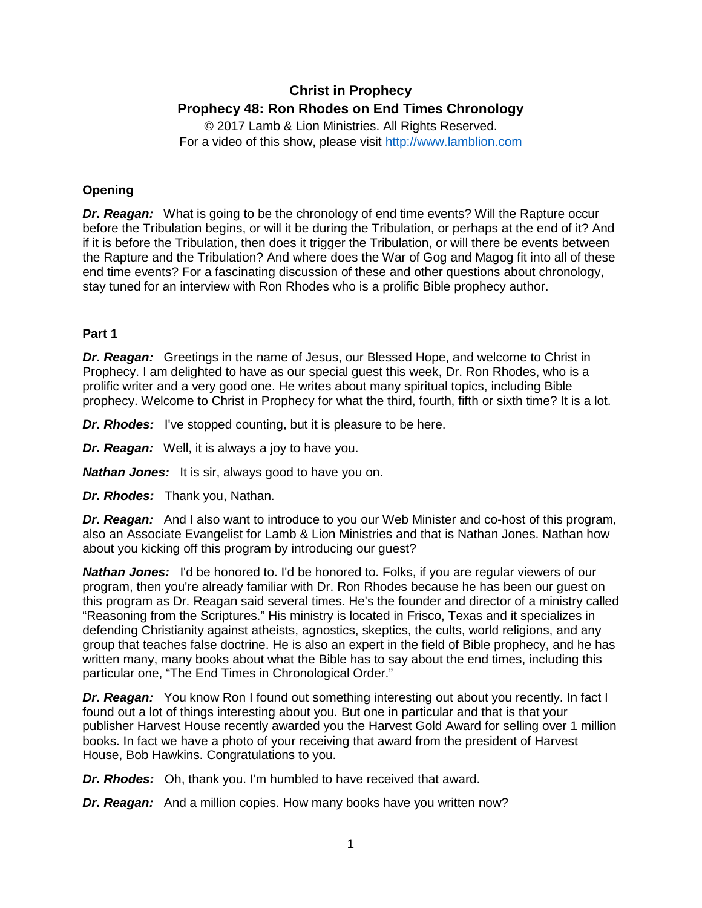# **Christ in Prophecy Prophecy 48: Ron Rhodes on End Times Chronology**

© 2017 Lamb & Lion Ministries. All Rights Reserved. For a video of this show, please visit [http://www.lamblion.com](http://www.lamblion.com/)

# **Opening**

*Dr. Reagan:* What is going to be the chronology of end time events? Will the Rapture occur before the Tribulation begins, or will it be during the Tribulation, or perhaps at the end of it? And if it is before the Tribulation, then does it trigger the Tribulation, or will there be events between the Rapture and the Tribulation? And where does the War of Gog and Magog fit into all of these end time events? For a fascinating discussion of these and other questions about chronology, stay tuned for an interview with Ron Rhodes who is a prolific Bible prophecy author.

# **Part 1**

*Dr. Reagan:* Greetings in the name of Jesus, our Blessed Hope, and welcome to Christ in Prophecy. I am delighted to have as our special guest this week, Dr. Ron Rhodes, who is a prolific writer and a very good one. He writes about many spiritual topics, including Bible prophecy. Welcome to Christ in Prophecy for what the third, fourth, fifth or sixth time? It is a lot.

*Dr. Rhodes:* I've stopped counting, but it is pleasure to be here.

*Dr. Reagan:* Well, it is always a joy to have you.

*Nathan Jones:* It is sir, always good to have you on.

*Dr. Rhodes:* Thank you, Nathan.

*Dr. Reagan:* And I also want to introduce to you our Web Minister and co-host of this program, also an Associate Evangelist for Lamb & Lion Ministries and that is Nathan Jones. Nathan how about you kicking off this program by introducing our guest?

**Nathan Jones:** I'd be honored to. I'd be honored to. Folks, if you are regular viewers of our program, then you're already familiar with Dr. Ron Rhodes because he has been our guest on this program as Dr. Reagan said several times. He's the founder and director of a ministry called "Reasoning from the Scriptures." His ministry is located in Frisco, Texas and it specializes in defending Christianity against atheists, agnostics, skeptics, the cults, world religions, and any group that teaches false doctrine. He is also an expert in the field of Bible prophecy, and he has written many, many books about what the Bible has to say about the end times, including this particular one, "The End Times in Chronological Order."

*Dr. Reagan:* You know Ron I found out something interesting out about you recently. In fact I found out a lot of things interesting about you. But one in particular and that is that your publisher Harvest House recently awarded you the Harvest Gold Award for selling over 1 million books. In fact we have a photo of your receiving that award from the president of Harvest House, Bob Hawkins. Congratulations to you.

*Dr. Rhodes:* Oh, thank you. I'm humbled to have received that award.

*Dr. Reagan:* And a million copies. How many books have you written now?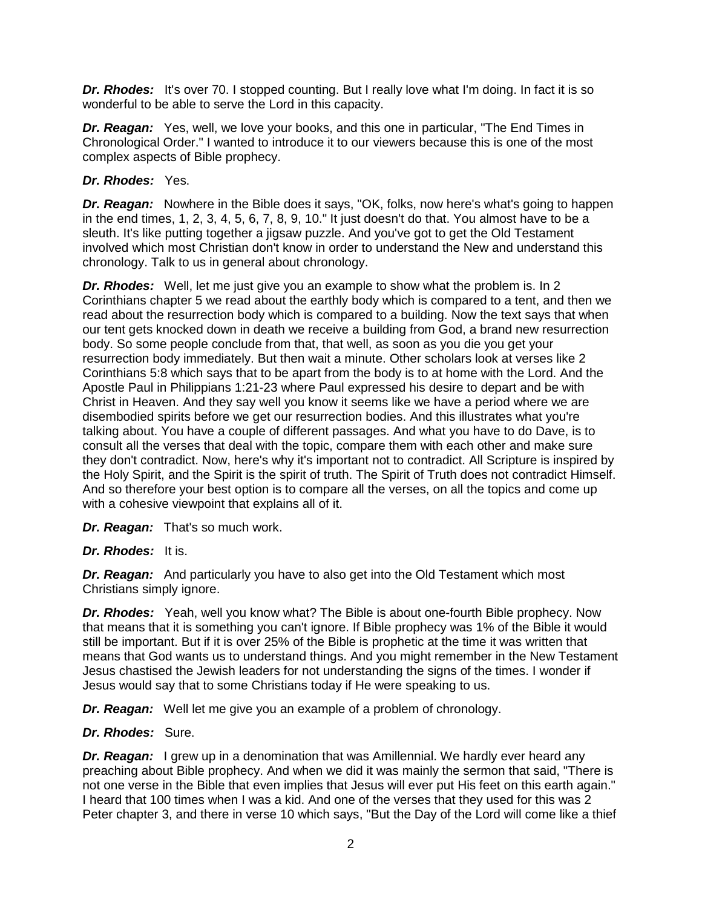**Dr. Rhodes:** It's over 70. I stopped counting. But I really love what I'm doing. In fact it is so wonderful to be able to serve the Lord in this capacity.

*Dr. Reagan:* Yes, well, we love your books, and this one in particular, "The End Times in Chronological Order." I wanted to introduce it to our viewers because this is one of the most complex aspects of Bible prophecy.

# *Dr. Rhodes:* Yes.

*Dr. Reagan:* Nowhere in the Bible does it says, "OK, folks, now here's what's going to happen in the end times, 1, 2, 3, 4, 5, 6, 7, 8, 9, 10." It just doesn't do that. You almost have to be a sleuth. It's like putting together a jigsaw puzzle. And you've got to get the Old Testament involved which most Christian don't know in order to understand the New and understand this chronology. Talk to us in general about chronology.

*Dr. Rhodes:* Well, let me just give you an example to show what the problem is. In 2 Corinthians chapter 5 we read about the earthly body which is compared to a tent, and then we read about the resurrection body which is compared to a building. Now the text says that when our tent gets knocked down in death we receive a building from God, a brand new resurrection body. So some people conclude from that, that well, as soon as you die you get your resurrection body immediately. But then wait a minute. Other scholars look at verses like 2 Corinthians 5:8 which says that to be apart from the body is to at home with the Lord. And the Apostle Paul in Philippians 1:21-23 where Paul expressed his desire to depart and be with Christ in Heaven. And they say well you know it seems like we have a period where we are disembodied spirits before we get our resurrection bodies. And this illustrates what you're talking about. You have a couple of different passages. And what you have to do Dave, is to consult all the verses that deal with the topic, compare them with each other and make sure they don't contradict. Now, here's why it's important not to contradict. All Scripture is inspired by the Holy Spirit, and the Spirit is the spirit of truth. The Spirit of Truth does not contradict Himself. And so therefore your best option is to compare all the verses, on all the topics and come up with a cohesive viewpoint that explains all of it.

*Dr. Reagan:* That's so much work.

# *Dr. Rhodes:* It is.

*Dr. Reagan:* And particularly you have to also get into the Old Testament which most Christians simply ignore.

*Dr. Rhodes:* Yeah, well you know what? The Bible is about one-fourth Bible prophecy. Now that means that it is something you can't ignore. If Bible prophecy was 1% of the Bible it would still be important. But if it is over 25% of the Bible is prophetic at the time it was written that means that God wants us to understand things. And you might remember in the New Testament Jesus chastised the Jewish leaders for not understanding the signs of the times. I wonder if Jesus would say that to some Christians today if He were speaking to us.

*Dr. Reagan:* Well let me give you an example of a problem of chronology.

# *Dr. Rhodes:* Sure.

**Dr. Reagan:** I grew up in a denomination that was Amillennial. We hardly ever heard any preaching about Bible prophecy. And when we did it was mainly the sermon that said, "There is not one verse in the Bible that even implies that Jesus will ever put His feet on this earth again." I heard that 100 times when I was a kid. And one of the verses that they used for this was 2 Peter chapter 3, and there in verse 10 which says, "But the Day of the Lord will come like a thief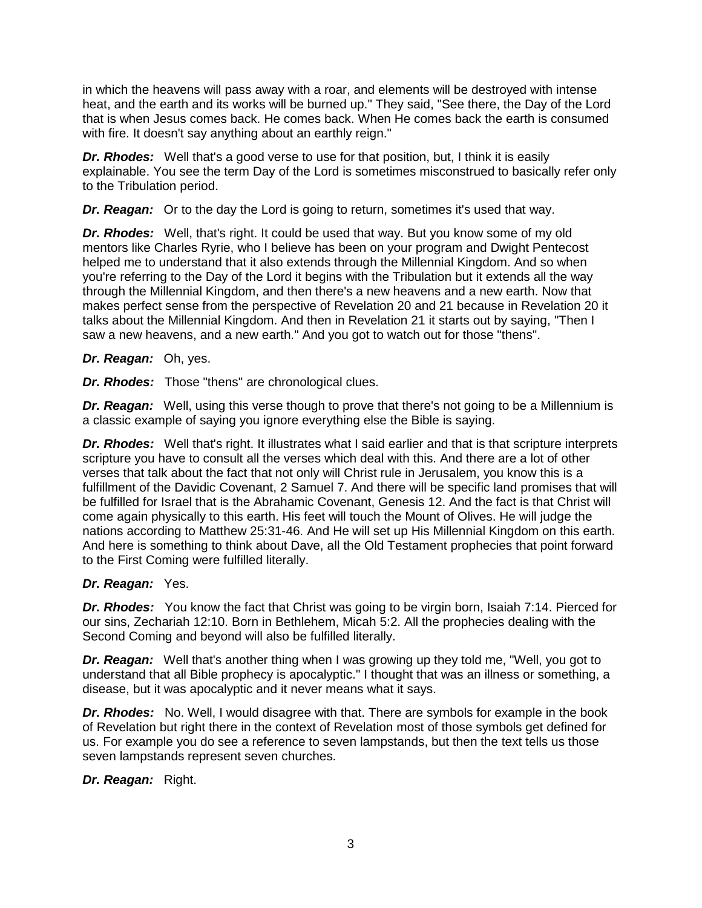in which the heavens will pass away with a roar, and elements will be destroyed with intense heat, and the earth and its works will be burned up." They said, "See there, the Day of the Lord that is when Jesus comes back. He comes back. When He comes back the earth is consumed with fire. It doesn't say anything about an earthly reign."

*Dr. Rhodes:* Well that's a good verse to use for that position, but, I think it is easily explainable. You see the term Day of the Lord is sometimes misconstrued to basically refer only to the Tribulation period.

*Dr. Reagan:* Or to the day the Lord is going to return, sometimes it's used that way.

*Dr. Rhodes:* Well, that's right. It could be used that way. But you know some of my old mentors like Charles Ryrie, who I believe has been on your program and Dwight Pentecost helped me to understand that it also extends through the Millennial Kingdom. And so when you're referring to the Day of the Lord it begins with the Tribulation but it extends all the way through the Millennial Kingdom, and then there's a new heavens and a new earth. Now that makes perfect sense from the perspective of Revelation 20 and 21 because in Revelation 20 it talks about the Millennial Kingdom. And then in Revelation 21 it starts out by saying, "Then I saw a new heavens, and a new earth." And you got to watch out for those "thens".

*Dr. Reagan:* Oh, yes.

*Dr. Rhodes:* Those "thens" are chronological clues.

*Dr. Reagan:* Well, using this verse though to prove that there's not going to be a Millennium is a classic example of saying you ignore everything else the Bible is saying.

*Dr. Rhodes:* Well that's right. It illustrates what I said earlier and that is that scripture interprets scripture you have to consult all the verses which deal with this. And there are a lot of other verses that talk about the fact that not only will Christ rule in Jerusalem, you know this is a fulfillment of the Davidic Covenant, 2 Samuel 7. And there will be specific land promises that will be fulfilled for Israel that is the Abrahamic Covenant, Genesis 12. And the fact is that Christ will come again physically to this earth. His feet will touch the Mount of Olives. He will judge the nations according to Matthew 25:31-46. And He will set up His Millennial Kingdom on this earth. And here is something to think about Dave, all the Old Testament prophecies that point forward to the First Coming were fulfilled literally.

# *Dr. Reagan:* Yes.

*Dr. Rhodes:* You know the fact that Christ was going to be virgin born, Isaiah 7:14. Pierced for our sins, Zechariah 12:10. Born in Bethlehem, Micah 5:2. All the prophecies dealing with the Second Coming and beyond will also be fulfilled literally.

*Dr. Reagan:* Well that's another thing when I was growing up they told me, "Well, you got to understand that all Bible prophecy is apocalyptic." I thought that was an illness or something, a disease, but it was apocalyptic and it never means what it says.

**Dr. Rhodes:** No. Well, I would disagree with that. There are symbols for example in the book of Revelation but right there in the context of Revelation most of those symbols get defined for us. For example you do see a reference to seven lampstands, but then the text tells us those seven lampstands represent seven churches.

# *Dr. Reagan:* Right.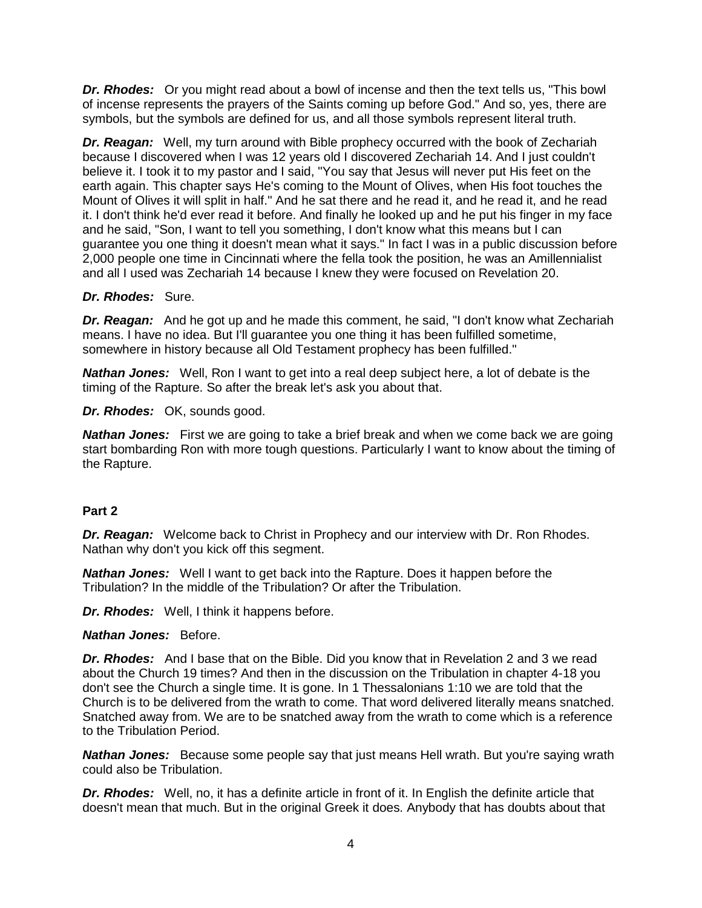*Dr. Rhodes:* Or you might read about a bowl of incense and then the text tells us, "This bowl of incense represents the prayers of the Saints coming up before God." And so, yes, there are symbols, but the symbols are defined for us, and all those symbols represent literal truth.

*Dr. Reagan:* Well, my turn around with Bible prophecy occurred with the book of Zechariah because I discovered when I was 12 years old I discovered Zechariah 14. And I just couldn't believe it. I took it to my pastor and I said, "You say that Jesus will never put His feet on the earth again. This chapter says He's coming to the Mount of Olives, when His foot touches the Mount of Olives it will split in half." And he sat there and he read it, and he read it, and he read it. I don't think he'd ever read it before. And finally he looked up and he put his finger in my face and he said, "Son, I want to tell you something, I don't know what this means but I can guarantee you one thing it doesn't mean what it says." In fact I was in a public discussion before 2,000 people one time in Cincinnati where the fella took the position, he was an Amillennialist and all I used was Zechariah 14 because I knew they were focused on Revelation 20.

# *Dr. Rhodes:* Sure.

**Dr. Reagan:** And he got up and he made this comment, he said, "I don't know what Zechariah means. I have no idea. But I'll guarantee you one thing it has been fulfilled sometime, somewhere in history because all Old Testament prophecy has been fulfilled."

*Nathan Jones:* Well, Ron I want to get into a real deep subject here, a lot of debate is the timing of the Rapture. So after the break let's ask you about that.

#### *Dr. Rhodes:* OK, sounds good.

*Nathan Jones:* First we are going to take a brief break and when we come back we are going start bombarding Ron with more tough questions. Particularly I want to know about the timing of the Rapture.

# **Part 2**

*Dr. Reagan:* Welcome back to Christ in Prophecy and our interview with Dr. Ron Rhodes. Nathan why don't you kick off this segment.

*Nathan Jones:* Well I want to get back into the Rapture. Does it happen before the Tribulation? In the middle of the Tribulation? Or after the Tribulation.

*Dr. Rhodes:* Well, I think it happens before.

#### *Nathan Jones:* Before.

*Dr. Rhodes:* And I base that on the Bible. Did you know that in Revelation 2 and 3 we read about the Church 19 times? And then in the discussion on the Tribulation in chapter 4-18 you don't see the Church a single time. It is gone. In 1 Thessalonians 1:10 we are told that the Church is to be delivered from the wrath to come. That word delivered literally means snatched. Snatched away from. We are to be snatched away from the wrath to come which is a reference to the Tribulation Period.

*Nathan Jones:* Because some people say that just means Hell wrath. But you're saying wrath could also be Tribulation.

*Dr. Rhodes:* Well, no, it has a definite article in front of it. In English the definite article that doesn't mean that much. But in the original Greek it does. Anybody that has doubts about that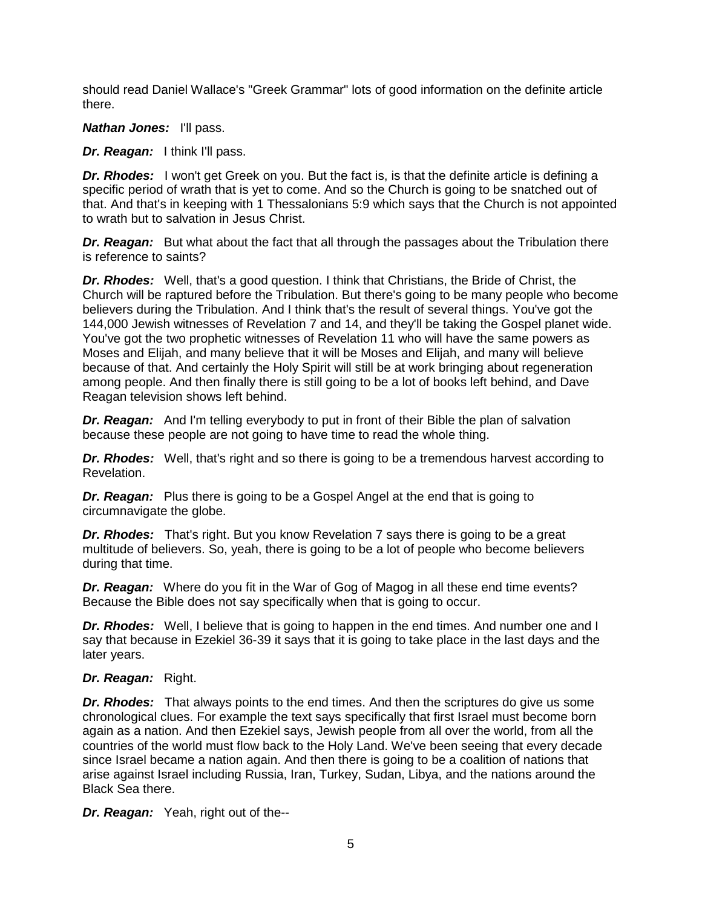should read Daniel Wallace's "Greek Grammar" lots of good information on the definite article there.

*Nathan Jones:* I'll pass.

*Dr. Reagan:* I think I'll pass.

**Dr. Rhodes:** I won't get Greek on you. But the fact is, is that the definite article is defining a specific period of wrath that is yet to come. And so the Church is going to be snatched out of that. And that's in keeping with 1 Thessalonians 5:9 which says that the Church is not appointed to wrath but to salvation in Jesus Christ.

**Dr. Reagan:** But what about the fact that all through the passages about the Tribulation there is reference to saints?

*Dr. Rhodes:* Well, that's a good question. I think that Christians, the Bride of Christ, the Church will be raptured before the Tribulation. But there's going to be many people who become believers during the Tribulation. And I think that's the result of several things. You've got the 144,000 Jewish witnesses of Revelation 7 and 14, and they'll be taking the Gospel planet wide. You've got the two prophetic witnesses of Revelation 11 who will have the same powers as Moses and Elijah, and many believe that it will be Moses and Elijah, and many will believe because of that. And certainly the Holy Spirit will still be at work bringing about regeneration among people. And then finally there is still going to be a lot of books left behind, and Dave Reagan television shows left behind.

*Dr. Reagan:* And I'm telling everybody to put in front of their Bible the plan of salvation because these people are not going to have time to read the whole thing.

*Dr. Rhodes:* Well, that's right and so there is going to be a tremendous harvest according to Revelation.

*Dr. Reagan:* Plus there is going to be a Gospel Angel at the end that is going to circumnavigate the globe.

*Dr. Rhodes:* That's right. But you know Revelation 7 says there is going to be a great multitude of believers. So, yeah, there is going to be a lot of people who become believers during that time.

*Dr. Reagan:* Where do you fit in the War of Gog of Magog in all these end time events? Because the Bible does not say specifically when that is going to occur.

*Dr. Rhodes:* Well, I believe that is going to happen in the end times. And number one and I say that because in Ezekiel 36-39 it says that it is going to take place in the last days and the later years.

#### *Dr. Reagan:* Right.

*Dr. Rhodes:* That always points to the end times. And then the scriptures do give us some chronological clues. For example the text says specifically that first Israel must become born again as a nation. And then Ezekiel says, Jewish people from all over the world, from all the countries of the world must flow back to the Holy Land. We've been seeing that every decade since Israel became a nation again. And then there is going to be a coalition of nations that arise against Israel including Russia, Iran, Turkey, Sudan, Libya, and the nations around the Black Sea there.

*Dr. Reagan:* Yeah, right out of the--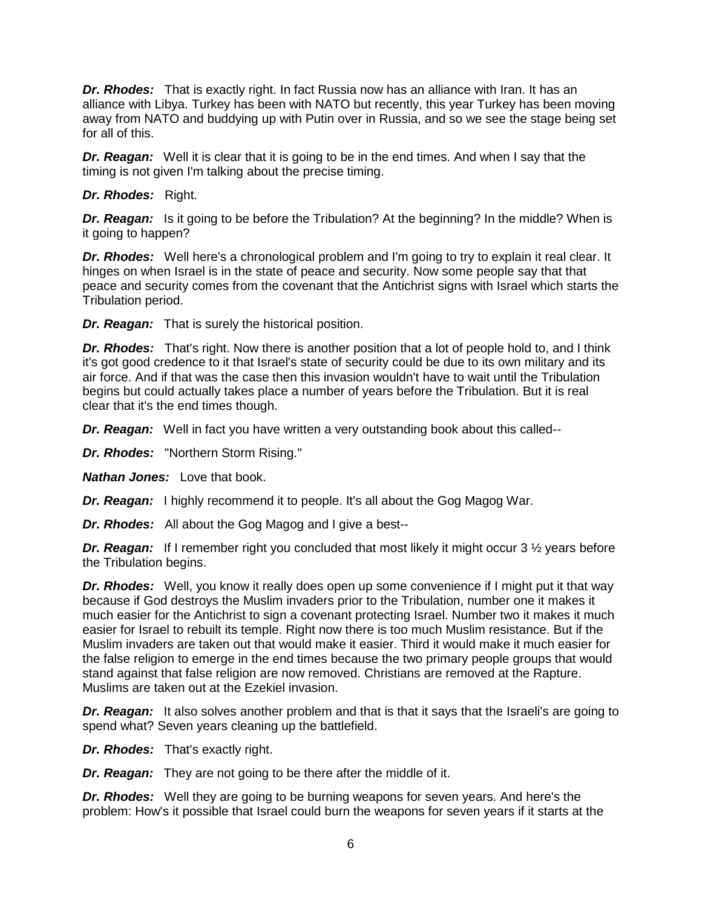*Dr. Rhodes:* That is exactly right. In fact Russia now has an alliance with Iran. It has an alliance with Libya. Turkey has been with NATO but recently, this year Turkey has been moving away from NATO and buddying up with Putin over in Russia, and so we see the stage being set for all of this.

**Dr. Reagan:** Well it is clear that it is going to be in the end times. And when I say that the timing is not given I'm talking about the precise timing.

#### *Dr. Rhodes:* Right.

**Dr. Reagan:** Is it going to be before the Tribulation? At the beginning? In the middle? When is it going to happen?

*Dr. Rhodes:* Well here's a chronological problem and I'm going to try to explain it real clear. It hinges on when Israel is in the state of peace and security. Now some people say that that peace and security comes from the covenant that the Antichrist signs with Israel which starts the Tribulation period.

*Dr. Reagan:* That is surely the historical position.

*Dr. Rhodes:* That's right. Now there is another position that a lot of people hold to, and I think it's got good credence to it that Israel's state of security could be due to its own military and its air force. And if that was the case then this invasion wouldn't have to wait until the Tribulation begins but could actually takes place a number of years before the Tribulation. But it is real clear that it's the end times though.

*Dr. Reagan:* Well in fact you have written a very outstanding book about this called--

*Dr. Rhodes:* "Northern Storm Rising."

*Nathan Jones:* Love that book.

*Dr. Reagan:* I highly recommend it to people. It's all about the Gog Magog War.

*Dr. Rhodes:* All about the Gog Magog and I give a best--

**Dr. Reagan:** If I remember right you concluded that most likely it might occur 3 <sup>1/2</sup> years before the Tribulation begins.

*Dr. Rhodes:* Well, you know it really does open up some convenience if I might put it that way because if God destroys the Muslim invaders prior to the Tribulation, number one it makes it much easier for the Antichrist to sign a covenant protecting Israel. Number two it makes it much easier for Israel to rebuilt its temple. Right now there is too much Muslim resistance. But if the Muslim invaders are taken out that would make it easier. Third it would make it much easier for the false religion to emerge in the end times because the two primary people groups that would stand against that false religion are now removed. Christians are removed at the Rapture. Muslims are taken out at the Ezekiel invasion.

*Dr. Reagan:* It also solves another problem and that is that it says that the Israeli's are going to spend what? Seven years cleaning up the battlefield.

*Dr. Rhodes:* That's exactly right.

*Dr. Reagan:* They are not going to be there after the middle of it.

*Dr. Rhodes:* Well they are going to be burning weapons for seven years. And here's the problem: How's it possible that Israel could burn the weapons for seven years if it starts at the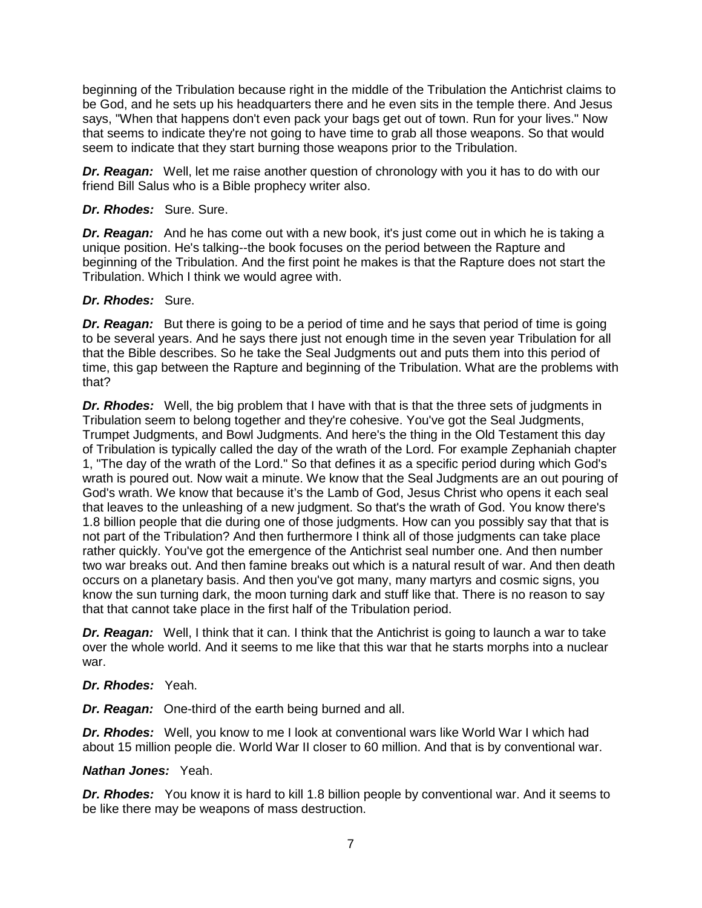beginning of the Tribulation because right in the middle of the Tribulation the Antichrist claims to be God, and he sets up his headquarters there and he even sits in the temple there. And Jesus says, "When that happens don't even pack your bags get out of town. Run for your lives." Now that seems to indicate they're not going to have time to grab all those weapons. So that would seem to indicate that they start burning those weapons prior to the Tribulation.

**Dr. Reagan:** Well, let me raise another question of chronology with you it has to do with our friend Bill Salus who is a Bible prophecy writer also.

#### *Dr. Rhodes:* Sure. Sure.

**Dr. Reagan:** And he has come out with a new book, it's just come out in which he is taking a unique position. He's talking--the book focuses on the period between the Rapture and beginning of the Tribulation. And the first point he makes is that the Rapture does not start the Tribulation. Which I think we would agree with.

#### *Dr. Rhodes:* Sure.

*Dr. Reagan:* But there is going to be a period of time and he says that period of time is going to be several years. And he says there just not enough time in the seven year Tribulation for all that the Bible describes. So he take the Seal Judgments out and puts them into this period of time, this gap between the Rapture and beginning of the Tribulation. What are the problems with that?

*Dr. Rhodes:* Well, the big problem that I have with that is that the three sets of judgments in Tribulation seem to belong together and they're cohesive. You've got the Seal Judgments, Trumpet Judgments, and Bowl Judgments. And here's the thing in the Old Testament this day of Tribulation is typically called the day of the wrath of the Lord. For example Zephaniah chapter 1, "The day of the wrath of the Lord." So that defines it as a specific period during which God's wrath is poured out. Now wait a minute. We know that the Seal Judgments are an out pouring of God's wrath. We know that because it's the Lamb of God, Jesus Christ who opens it each seal that leaves to the unleashing of a new judgment. So that's the wrath of God. You know there's 1.8 billion people that die during one of those judgments. How can you possibly say that that is not part of the Tribulation? And then furthermore I think all of those judgments can take place rather quickly. You've got the emergence of the Antichrist seal number one. And then number two war breaks out. And then famine breaks out which is a natural result of war. And then death occurs on a planetary basis. And then you've got many, many martyrs and cosmic signs, you know the sun turning dark, the moon turning dark and stuff like that. There is no reason to say that that cannot take place in the first half of the Tribulation period.

*Dr. Reagan:* Well, I think that it can. I think that the Antichrist is going to launch a war to take over the whole world. And it seems to me like that this war that he starts morphs into a nuclear war.

# *Dr. Rhodes:* Yeah.

*Dr. Reagan:* One-third of the earth being burned and all.

*Dr. Rhodes:* Well, you know to me I look at conventional wars like World War I which had about 15 million people die. World War II closer to 60 million. And that is by conventional war.

#### *Nathan Jones:* Yeah.

**Dr. Rhodes:** You know it is hard to kill 1.8 billion people by conventional war. And it seems to be like there may be weapons of mass destruction.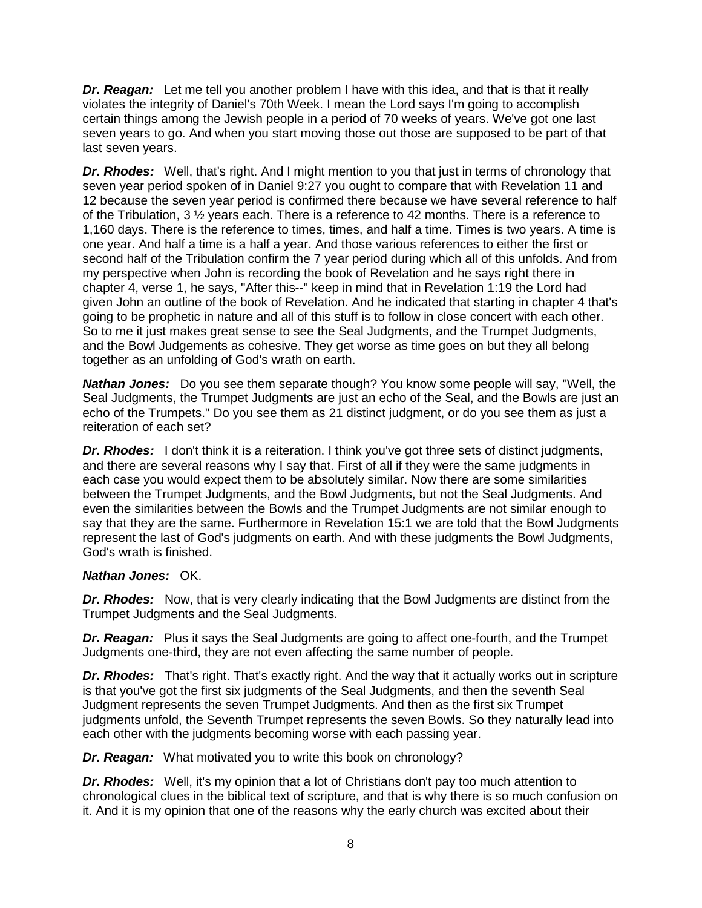*Dr. Reagan:* Let me tell you another problem I have with this idea, and that is that it really violates the integrity of Daniel's 70th Week. I mean the Lord says I'm going to accomplish certain things among the Jewish people in a period of 70 weeks of years. We've got one last seven years to go. And when you start moving those out those are supposed to be part of that last seven years.

**Dr. Rhodes:** Well, that's right. And I might mention to you that just in terms of chronology that seven year period spoken of in Daniel 9:27 you ought to compare that with Revelation 11 and 12 because the seven year period is confirmed there because we have several reference to half of the Tribulation,  $3\frac{1}{2}$  years each. There is a reference to 42 months. There is a reference to 1,160 days. There is the reference to times, times, and half a time. Times is two years. A time is one year. And half a time is a half a year. And those various references to either the first or second half of the Tribulation confirm the 7 year period during which all of this unfolds. And from my perspective when John is recording the book of Revelation and he says right there in chapter 4, verse 1, he says, "After this--" keep in mind that in Revelation 1:19 the Lord had given John an outline of the book of Revelation. And he indicated that starting in chapter 4 that's going to be prophetic in nature and all of this stuff is to follow in close concert with each other. So to me it just makes great sense to see the Seal Judgments, and the Trumpet Judgments, and the Bowl Judgements as cohesive. They get worse as time goes on but they all belong together as an unfolding of God's wrath on earth.

*Nathan Jones:* Do you see them separate though? You know some people will say, "Well, the Seal Judgments, the Trumpet Judgments are just an echo of the Seal, and the Bowls are just an echo of the Trumpets." Do you see them as 21 distinct judgment, or do you see them as just a reiteration of each set?

*Dr. Rhodes:* I don't think it is a reiteration. I think you've got three sets of distinct judgments, and there are several reasons why I say that. First of all if they were the same judgments in each case you would expect them to be absolutely similar. Now there are some similarities between the Trumpet Judgments, and the Bowl Judgments, but not the Seal Judgments. And even the similarities between the Bowls and the Trumpet Judgments are not similar enough to say that they are the same. Furthermore in Revelation 15:1 we are told that the Bowl Judgments represent the last of God's judgments on earth. And with these judgments the Bowl Judgments, God's wrath is finished.

# *Nathan Jones:* OK.

**Dr. Rhodes:** Now, that is very clearly indicating that the Bowl Judgments are distinct from the Trumpet Judgments and the Seal Judgments.

*Dr. Reagan:* Plus it says the Seal Judgments are going to affect one-fourth, and the Trumpet Judgments one-third, they are not even affecting the same number of people.

*Dr. Rhodes:* That's right. That's exactly right. And the way that it actually works out in scripture is that you've got the first six judgments of the Seal Judgments, and then the seventh Seal Judgment represents the seven Trumpet Judgments. And then as the first six Trumpet judgments unfold, the Seventh Trumpet represents the seven Bowls. So they naturally lead into each other with the judgments becoming worse with each passing year.

*Dr. Reagan:* What motivated you to write this book on chronology?

*Dr. Rhodes:* Well, it's my opinion that a lot of Christians don't pay too much attention to chronological clues in the biblical text of scripture, and that is why there is so much confusion on it. And it is my opinion that one of the reasons why the early church was excited about their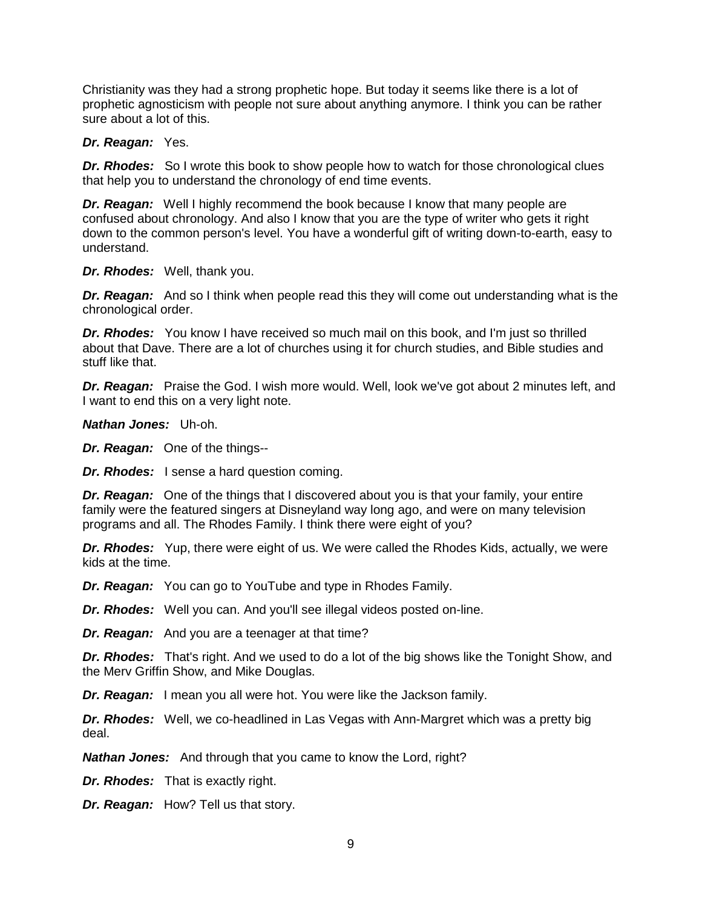Christianity was they had a strong prophetic hope. But today it seems like there is a lot of prophetic agnosticism with people not sure about anything anymore. I think you can be rather sure about a lot of this.

#### *Dr. Reagan:* Yes.

*Dr. Rhodes:* So I wrote this book to show people how to watch for those chronological clues that help you to understand the chronology of end time events.

*Dr. Reagan:* Well I highly recommend the book because I know that many people are confused about chronology. And also I know that you are the type of writer who gets it right down to the common person's level. You have a wonderful gift of writing down-to-earth, easy to understand.

#### *Dr. Rhodes:* Well, thank you.

*Dr. Reagan:* And so I think when people read this they will come out understanding what is the chronological order.

*Dr. Rhodes:* You know I have received so much mail on this book, and I'm just so thrilled about that Dave. There are a lot of churches using it for church studies, and Bible studies and stuff like that.

**Dr. Reagan:** Praise the God. I wish more would. Well, look we've got about 2 minutes left, and I want to end this on a very light note.

*Nathan Jones:* Uh-oh.

*Dr. Reagan:* One of the things--

*Dr. Rhodes:* I sense a hard question coming.

*Dr. Reagan:* One of the things that I discovered about you is that your family, your entire family were the featured singers at Disneyland way long ago, and were on many television programs and all. The Rhodes Family. I think there were eight of you?

*Dr. Rhodes:* Yup, there were eight of us. We were called the Rhodes Kids, actually, we were kids at the time.

*Dr. Reagan:* You can go to YouTube and type in Rhodes Family.

*Dr. Rhodes:* Well you can. And you'll see illegal videos posted on-line.

*Dr. Reagan:* And you are a teenager at that time?

*Dr. Rhodes:* That's right. And we used to do a lot of the big shows like the Tonight Show, and the Merv Griffin Show, and Mike Douglas.

*Dr. Reagan:* I mean you all were hot. You were like the Jackson family.

*Dr. Rhodes:* Well, we co-headlined in Las Vegas with Ann-Margret which was a pretty big deal.

*Nathan Jones:* And through that you came to know the Lord, right?

*Dr. Rhodes:* That is exactly right.

*Dr. Reagan:* How? Tell us that story.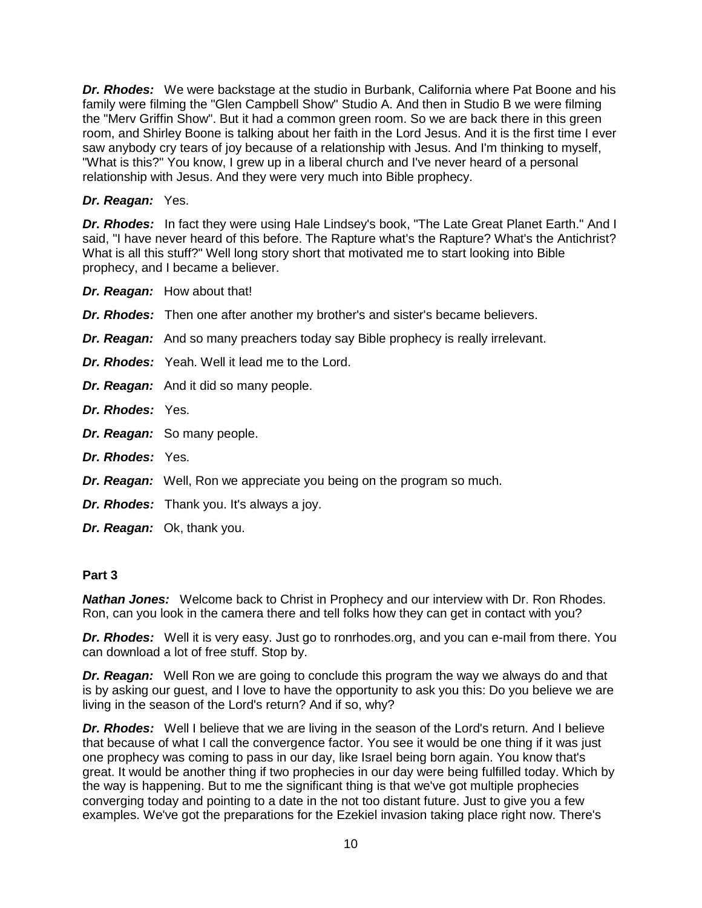*Dr. Rhodes:* We were backstage at the studio in Burbank, California where Pat Boone and his family were filming the "Glen Campbell Show" Studio A. And then in Studio B we were filming the "Merv Griffin Show". But it had a common green room. So we are back there in this green room, and Shirley Boone is talking about her faith in the Lord Jesus. And it is the first time I ever saw anybody cry tears of joy because of a relationship with Jesus. And I'm thinking to myself, "What is this?" You know, I grew up in a liberal church and I've never heard of a personal relationship with Jesus. And they were very much into Bible prophecy.

#### *Dr. Reagan:* Yes.

*Dr. Rhodes:* In fact they were using Hale Lindsey's book, "The Late Great Planet Earth." And I said, "I have never heard of this before. The Rapture what's the Rapture? What's the Antichrist? What is all this stuff?" Well long story short that motivated me to start looking into Bible prophecy, and I became a believer.

*Dr. Reagan:* How about that!

*Dr. Rhodes:* Then one after another my brother's and sister's became believers.

*Dr. Reagan:* And so many preachers today say Bible prophecy is really irrelevant.

*Dr. Rhodes:* Yeah. Well it lead me to the Lord.

*Dr. Reagan:* And it did so many people.

*Dr. Rhodes:* Yes.

*Dr. Reagan:* So many people.

*Dr. Rhodes:* Yes.

*Dr. Reagan:* Well, Ron we appreciate you being on the program so much.

*Dr. Rhodes:* Thank you. It's always a joy.

*Dr. Reagan:* Ok, thank you.

#### **Part 3**

*Nathan Jones:* Welcome back to Christ in Prophecy and our interview with Dr. Ron Rhodes. Ron, can you look in the camera there and tell folks how they can get in contact with you?

**Dr. Rhodes:** Well it is very easy. Just go to ronrhodes.org, and you can e-mail from there. You can download a lot of free stuff. Stop by.

*Dr. Reagan:* Well Ron we are going to conclude this program the way we always do and that is by asking our guest, and I love to have the opportunity to ask you this: Do you believe we are living in the season of the Lord's return? And if so, why?

*Dr. Rhodes:* Well I believe that we are living in the season of the Lord's return. And I believe that because of what I call the convergence factor. You see it would be one thing if it was just one prophecy was coming to pass in our day, like Israel being born again. You know that's great. It would be another thing if two prophecies in our day were being fulfilled today. Which by the way is happening. But to me the significant thing is that we've got multiple prophecies converging today and pointing to a date in the not too distant future. Just to give you a few examples. We've got the preparations for the Ezekiel invasion taking place right now. There's